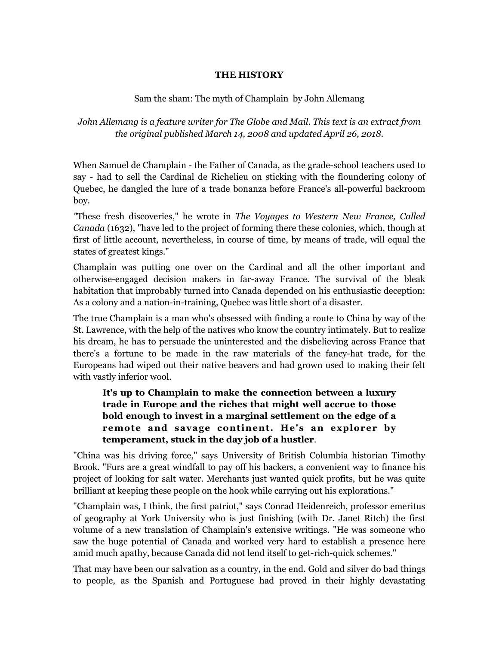## **THE HISTORY**

## Sam the sham: The myth of Champlain by John Allemang

## *John Allemang is a feature writer for The Globe and Mail. This text is an extract from the original published March 14, 2008 and updated April 26, 2018.*

When Samuel de Champlain - the Father of Canada, as the grade-school teachers used to say - had to sell the Cardinal de Richelieu on sticking with the floundering colony of Quebec, he dangled the lure of a trade bonanza before France's all-powerful backroom boy.

*"*These fresh discoveries," he wrote in *The Voyages to Western New France, Called Canada* (1632), "have led to the project of forming there these colonies, which, though at first of little account, nevertheless, in course of time, by means of trade, will equal the states of greatest kings."

Champlain was putting one over on the Cardinal and all the other important and otherwise-engaged decision makers in far-away France. The survival of the bleak habitation that improbably turned into Canada depended on his enthusiastic deception: As a colony and a nation-in-training, Quebec was little short of a disaster.

The true Champlain is a man who's obsessed with finding a route to China by way of the St. Lawrence, with the help of the natives who know the country intimately. But to realize his dream, he has to persuade the uninterested and the disbelieving across France that there's a fortune to be made in the raw materials of the fancy-hat trade, for the Europeans had wiped out their native beavers and had grown used to making their felt with vastly inferior wool.

## **It's up to Champlain to make the connection between a luxury trade in Europe and the riches that might well accrue to those bold enough to invest in a marginal settlement on the edge of a remote and savage continent. He's an explorer by temperament, stuck in the day job of a hustler**.

"China was his driving force," says University of British Columbia historian Timothy Brook. "Furs are a great windfall to pay off his backers, a convenient way to finance his project of looking for salt water. Merchants just wanted quick profits, but he was quite brilliant at keeping these people on the hook while carrying out his explorations."

"Champlain was, I think, the first patriot," says Conrad Heidenreich, professor emeritus of geography at York University who is just finishing (with Dr. Janet Ritch) the first volume of a new translation of Champlain's extensive writings. "He was someone who saw the huge potential of Canada and worked very hard to establish a presence here amid much apathy, because Canada did not lend itself to get-rich-quick schemes."

That may have been our salvation as a country, in the end. Gold and silver do bad things to people, as the Spanish and Portuguese had proved in their highly devastating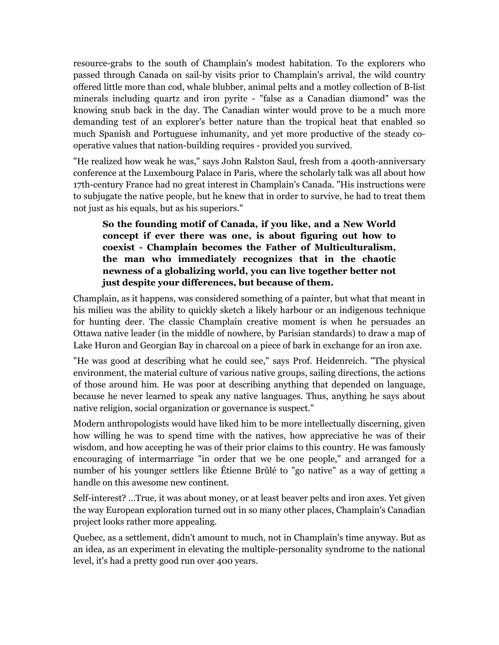resource-grabs to the south of Champlain's modest habitation. To the explorers who passed through Canada on sail-by visits prior to Champlain's arrival, the wild country offered little more than cod, whale blubber, animal pelts and a motley collection of B-list minerals including quartz and iron pyrite - "false as a Canadian diamond" was the knowing snub back in the day. The Canadian winter would prove to be a much more demanding test of an explorer's better nature than the tropical heat that enabled so much Spanish and Portuguese inhumanity, and yet more productive of the steady cooperative values that nation-building requires - provided you survived.

"He realized how weak he was," says John Ralston Saul, fresh from a 400th-anniversary conference at the Luxembourg Palace in Paris, where the scholarly talk was all about how 17th-century France had no great interest in Champlain's Canada. "His instructions were to subjugate the native people, but he knew that in order to survive, he had to treat them not just as his equals, but as his superiors."

**So the founding motif of Canada, if you like, and a New World concept if ever there was one, is about figuring out how to coexist - Champlain becomes the Father of Multiculturalism, the man who immediately recognizes that in the chaotic newness of a globalizing world, you can live together better not just despite your differences, but because of them.**

Champlain, as it happens, was considered something of a painter, but what that meant in his milieu was the ability to quickly sketch a likely harbour or an indigenous technique for hunting deer. The classic Champlain creative moment is when he persuades an Ottawa native leader (in the middle of nowhere, by Parisian standards) to draw a map of Lake Huron and Georgian Bay in charcoal on a piece of bark in exchange for an iron axe.

"He was good at describing what he could see," says Prof. Heidenreich. "The physical environment, the material culture of various native groups, sailing directions, the actions of those around him. He was poor at describing anything that depended on language, because he never learned to speak any native languages. Thus, anything he says about native religion, social organization or governance is suspect."

Modern anthropologists would have liked him to be more intellectually discerning, given how willing he was to spend time with the natives, how appreciative he was of their wisdom, and how accepting he was of their prior claims to this country. He was famously encouraging of intermarriage "in order that we be one people," and arranged for a number of his younger settlers like Étienne Brûlé to "go native" as a way of getting a handle on this awesome new continent.

Self-interest? …True, it was about money, or at least beaver pelts and iron axes. Yet given the way European exploration turned out in so many other places, Champlain's Canadian project looks rather more appealing.

Quebec, as a settlement, didn't amount to much, not in Champlain's time anyway. But as an idea, as an experiment in elevating the multiple-personality syndrome to the national level, it's had a pretty good run over 400 years.